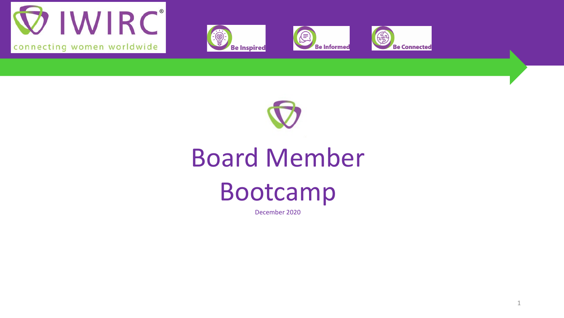









# Board Member Bootcamp

December 2020

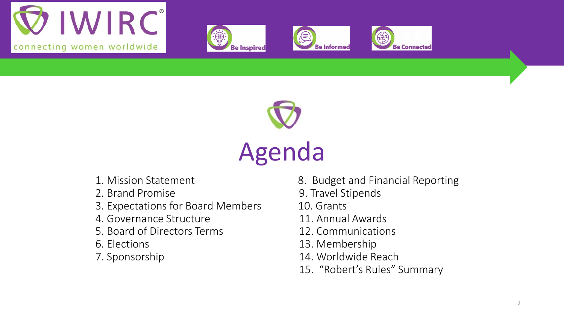









- 
- 
- 3. Expectations for Board Members 10. Grants
- 4. Governance Structure 11. Annual Awards
- 5. Board of Directors Terms 12. Communications
- 
- 
- 1. Mission Statement 8. Budget and Financial Reporting
- 2. Brand Promise 2. Brand Promise
	-
	-
	-
- 6. Elections 13. Membership
- 7. Sponsorship 14. Worldwide Reach
	- 15. "Robert's Rules" Summary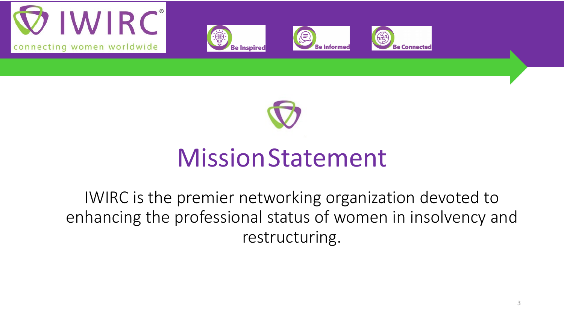









### MissionStatement

IWIRC is the premier networking organization devoted to enhancing the professional status of women in insolvency and restructuring.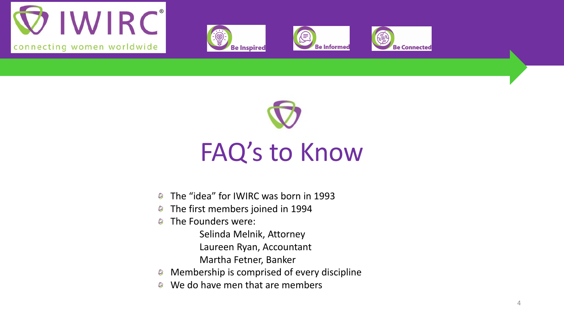









## FAQ's to Know

- The "idea" for IWIRC was born in 1993  $\circledcirc$
- The first members joined in 1994  $\circledcirc$
- The Founders were:  $\circledcirc$ 
	- Selinda Melnik, Attorney
	- Laureen Ryan, Accountant
	- Martha Fetner, Banker
- Membership is comprised of every discipline  $\circledcirc$
- We do have men that are members  $\circledcirc$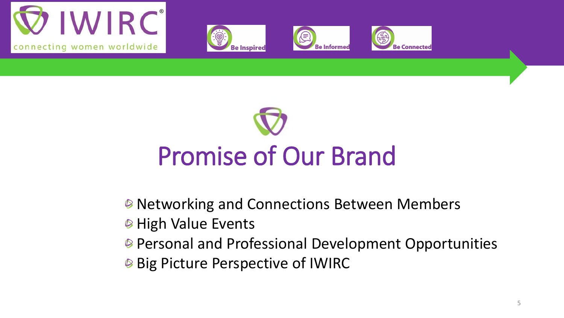









- **■** Networking and Connections Between Members
- **High Value Events**
- Personal and Professional Development Opportunities
- **Big Picture Perspective of IWIRC**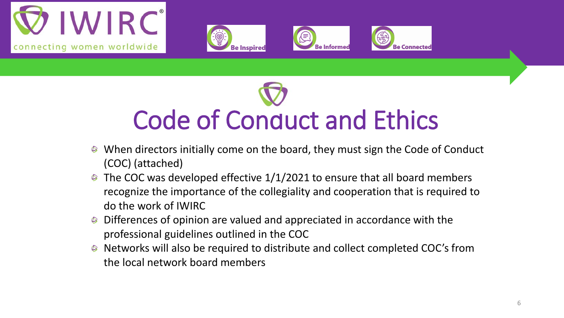









- When directors initially come on the board, they must sign the Code of Conduct (COC) (attached)
- The COC was developed effective 1/1/2021 to ensure that all board members  $\circledcirc$ recognize the importance of the collegiality and cooperation that is required to do the work of IWIRC
- Differences of opinion are valued and appreciated in accordance with the professional guidelines outlined in the COC
- Networks will also be required to distribute and collect completed COC's from the local network board members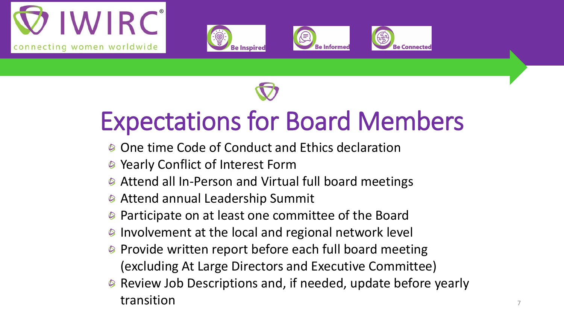









## Expectations for Board Members

- <sup>®</sup> One time Code of Conduct and Ethics declaration
- **Yearly Conflict of Interest Form**
- Attend all In-Person and Virtual full board meetings
- **<sup>●</sup>** Attend annual Leadership Summit
- Participate on at least one committee of the Board  $\circledcirc$
- **■** Involvement at the local and regional network level
- **■** Provide written report before each full board meeting (excluding At Large Directors and Executive Committee)
- Review Job Descriptions and, if needed, update before yearly transition transition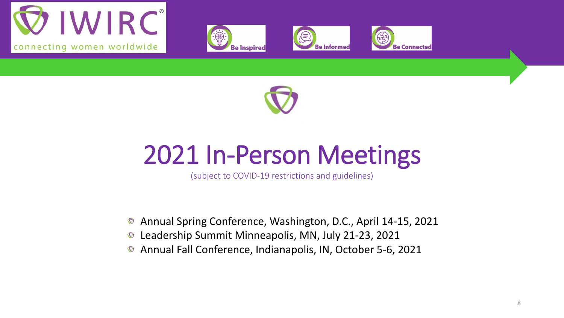









## 2021 In-Person Meetings

(subject to COVID-19 restrictions and guidelines)

- Annual Spring Conference, Washington, D.C., April 14-15, 2021  $\bigcirc$
- Leadership Summit Minneapolis, MN, July 21-23, 2021  $\bigcirc$
- Annual Fall Conference, Indianapolis, IN, October 5-6, 2021  $\bigcirc$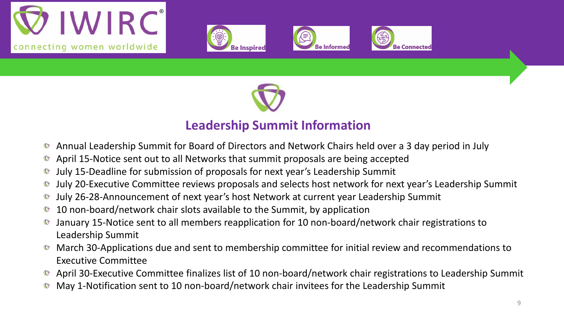









### **Leadership Summit Information**

- Annual Leadership Summit for Board of Directors and Network Chairs held over a 3 day period in July  $\circledcirc$
- April 15-Notice sent out to all Networks that summit proposals are being accepted  $\circledcirc$
- July 15-Deadline for submission of proposals for next year's Leadership Summit
- July 20-Executive Committee reviews proposals and selects host network for next year's Leadership Summit  $\circledcirc$
- July 26-28-Announcement of next year's host Network at current year Leadership Summit  $\circledcirc$
- 10 non-board/network chair slots available to the Summit, by application  $\circledcirc$
- January 15-Notice sent to all members reapplication for 10 non-board/network chair registrations to Leadership Summit
- March 30-Applications due and sent to membership committee for initial review and recommendations to Executive Committee
- April 30-Executive Committee finalizes list of 10 non-board/network chair registrations to Leadership Summit
- May 1-Notification sent to 10 non-board/network chair invitees for the Leadership Summit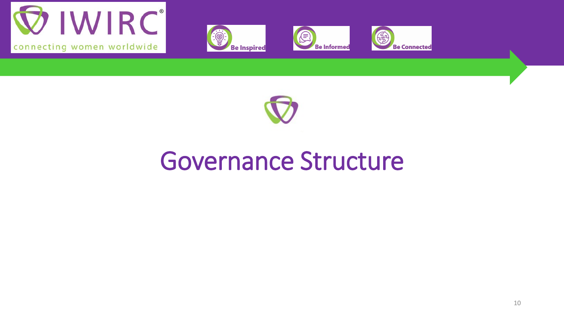









### Governance Structure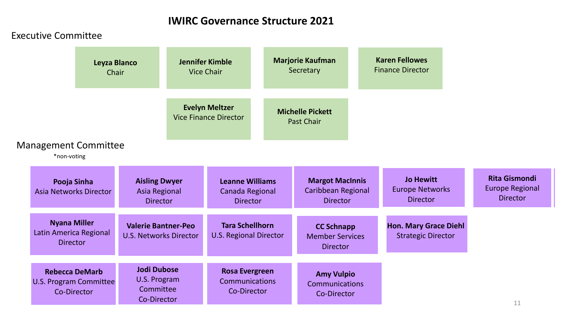#### Executive Committee

|                                                                       | Leyza Blanco<br>Chair |                                                                 | <b>Jennifer Kimble</b><br><b>Vice Chair</b>                          | <b>Marjorie Kaufman</b><br>Secretary                            | <b>Karen Fellowes</b><br><b>Finance Director</b>              |                                                                   |  |
|-----------------------------------------------------------------------|-----------------------|-----------------------------------------------------------------|----------------------------------------------------------------------|-----------------------------------------------------------------|---------------------------------------------------------------|-------------------------------------------------------------------|--|
| <b>Management Committee</b><br>*non-voting                            |                       |                                                                 | <b>Evelyn Meltzer</b><br><b>Vice Finance Director</b>                | <b>Michelle Pickett</b><br><b>Past Chair</b>                    |                                                               |                                                                   |  |
| Pooja Sinha<br><b>Asia Networks Director</b>                          |                       | <b>Aisling Dwyer</b><br><b>Asia Regional</b><br><b>Director</b> | <b>Leanne Williams</b><br>Canada Regional<br><b>Director</b>         | <b>Margot MacInnis</b><br>Caribbean Regional<br><b>Director</b> | <b>Jo Hewitt</b><br><b>Europe Networks</b><br><b>Director</b> | <b>Rita Gismondi</b><br><b>Europe Regional</b><br><b>Director</b> |  |
| <b>Nyana Miller</b><br>Latin America Regional<br><b>Director</b>      |                       | <b>Valerie Bantner-Peo</b><br><b>U.S. Networks Director</b>     | <b>Tara Schellhorn</b><br><b>U.S. Regional Director</b>              | <b>CC Schnapp</b><br><b>Member Services</b><br><b>Director</b>  | <b>Hon. Mary Grace Diehl</b><br><b>Strategic Director</b>     |                                                                   |  |
| <b>Rebecca DeMarb</b><br><b>U.S. Program Committee</b><br>Co-Director |                       | <b>Jodi Dubose</b><br>U.S. Program<br>Committee<br>Co-Director  | <b>Rosa Evergreen</b><br><b>Communications</b><br><b>Co-Director</b> | <b>Amy Vulpio</b><br><b>Communications</b><br>Co-Director       |                                                               | 11                                                                |  |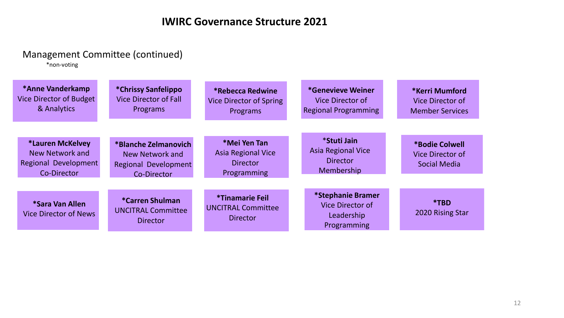#### Management Committee (continued)

\*non-voting

| *Anne Vanderkamp<br>Vice Director of Budget<br>& Analytics                 | *Chrissy Sanfelippo<br><b>Vice Director of Fall</b><br>Programs                       | <i><b>*Rebecca Redwine</b></i><br><b>Vice Director of Spring</b><br>Programs | <i>*Genevieve Weiner</i><br>Vice Director of<br><b>Regional Programming</b> | *Kerri Mumford<br>Vice Director of<br><b>Member Services</b> |
|----------------------------------------------------------------------------|---------------------------------------------------------------------------------------|------------------------------------------------------------------------------|-----------------------------------------------------------------------------|--------------------------------------------------------------|
| *Lauren McKelvey<br>New Network and<br>Regional Development<br>Co-Director | *Blanche Zelmanovich<br>New Network and<br><b>Regional Development</b><br>Co-Director | *Mei Yen Tan<br><b>Asia Regional Vice</b><br><b>Director</b><br>Programming  | *Stuti Jain<br><b>Asia Regional Vice</b><br><b>Director</b><br>Membership   | *Bodie Colwell<br>Vice Director of<br><b>Social Media</b>    |
| *Sara Van Allen<br><b>Vice Director of News</b>                            | <b>*Carren Shulman</b><br><b>UNCITRAL Committee</b><br><b>Director</b>                | <i>*Tinamarie Feil</i><br><b>UNCITRAL Committee</b><br><b>Director</b>       | *Stephanie Bramer<br>Vice Director of<br>Leadership<br>Programming          | *TBD<br>2020 Rising Star                                     |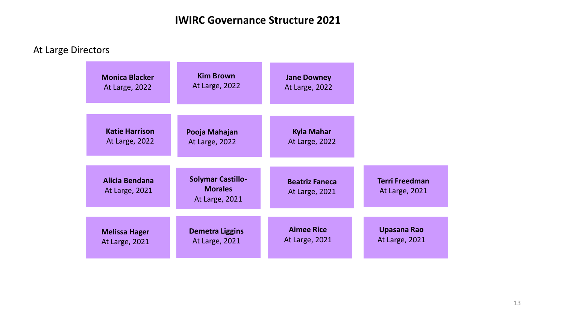At Large Directors

| <b>Monica Blacker</b>            | <b>Kim Brown</b>                                             | <b>Jane Downey</b>                             |                                         |
|----------------------------------|--------------------------------------------------------------|------------------------------------------------|-----------------------------------------|
| At Large, 2022                   | At Large, 2022                                               | At Large, 2022                                 |                                         |
| <b>Katie Harrison</b>            | Pooja Mahajan                                                | <b>Kyla Mahar</b>                              |                                         |
| <b>At Large, 2022</b>            | At Large, 2022                                               | At Large, 2022                                 |                                         |
| Alicia Bendana<br>At Large, 2021 | <b>Solymar Castillo-</b><br><b>Morales</b><br>At Large, 2021 | <b>Beatriz Faneca</b><br><b>At Large, 2021</b> | <b>Terri Freedman</b><br>At Large, 2021 |
| <b>Melissa Hager</b>             | <b>Demetra Liggins</b>                                       | <b>Aimee Rice</b>                              | <b>Upasana Rao</b>                      |
| At Large, 2021                   | At Large, 2021                                               | At Large, 2021                                 | At Large, 2021                          |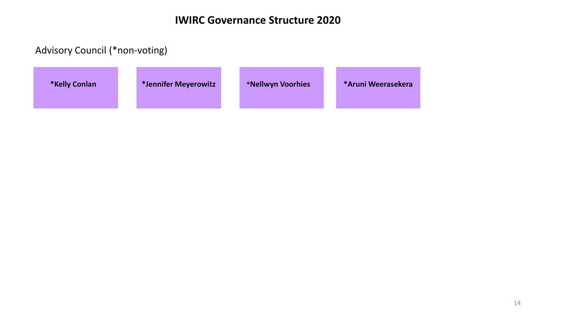#### Advisory Council (\*non-voting)

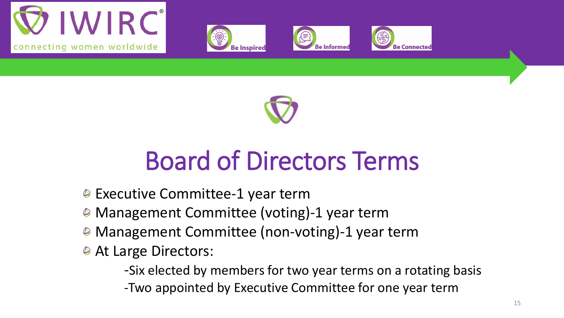









## Board of Directors Terms

- **Executive Committee-1 year term**
- Management Committee (voting)-1 year term
- **Management Committee (non-voting)-1 year term**
- **At Large Directors:**

-Six elected by members for two year terms on a rotating basis

-Two appointed by Executive Committee for one year term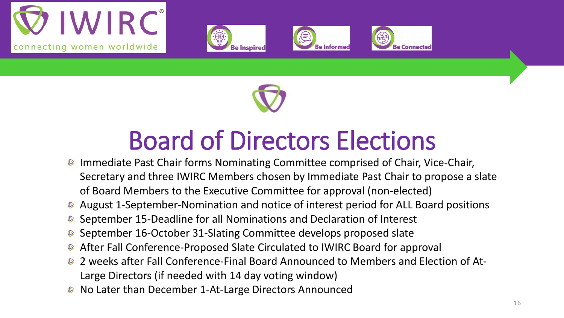









## Board of Directors Elections

- Immediate Past Chair forms Nominating Committee comprised of Chair, Vice-Chair, Secretary and three IWIRC Members chosen by Immediate Past Chair to propose a slate of Board Members to the Executive Committee for approval (non-elected)
- August 1-September-Nomination and notice of interest period for ALL Board positions
- September 15-Deadline for all Nominations and Declaration of Interest
- September 16-October 31-Slating Committee develops proposed slate
- After Fall Conference-Proposed Slate Circulated to IWIRC Board for approval
- 2 weeks after Fall Conference-Final Board Announced to Members and Election of At-Large Directors (if needed with 14 day voting window)
- No Later than December 1-At-Large Directors Announced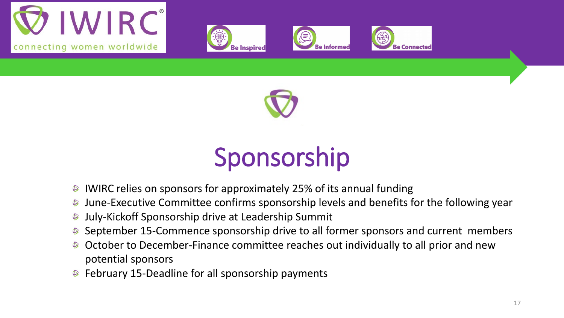









## Sponsorship

- IWIRC relies on sponsors for approximately 25% of its annual funding  $\circledcirc$
- June-Executive Committee confirms sponsorship levels and benefits for the following year  $\circledcirc$
- July-Kickoff Sponsorship drive at Leadership Summit  $\circledcirc$
- September 15-Commence sponsorship drive to all former sponsors and current members
- October to December-Finance committee reaches out individually to all prior and new potential sponsors
- **■** February 15-Deadline for all sponsorship payments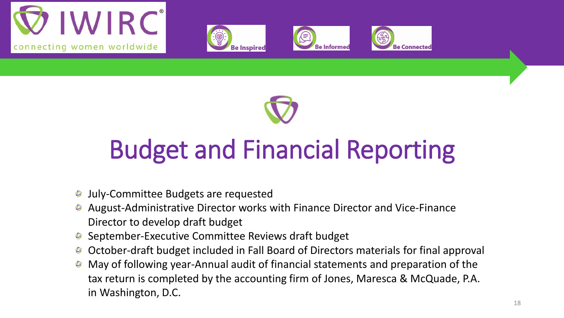









# Budget and Financial Reporting

- July-Committee Budgets are requested  $\circledcirc$
- August-Administrative Director works with Finance Director and Vice-Finance Director to develop draft budget
- September-Executive Committee Reviews draft budget
- October-draft budget included in Fall Board of Directors materials for final approval
- May of following year-Annual audit of financial statements and preparation of the  $\circledcirc$ tax return is completed by the accounting firm of Jones, Maresca & McQuade, P.A. in Washington, D.C.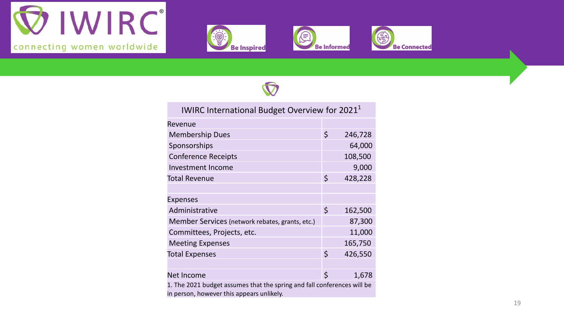









| IWIRC International Budget Overview for 2021 <sup>1</sup> |         |         |  |
|-----------------------------------------------------------|---------|---------|--|
| Revenue                                                   |         |         |  |
| <b>Membership Dues</b>                                    | \$      | 246,728 |  |
| Sponsorships                                              |         | 64,000  |  |
| <b>Conference Receipts</b>                                |         | 108,500 |  |
| Investment Income                                         |         | 9,000   |  |
| <b>Total Revenue</b>                                      | $\zeta$ | 428,228 |  |
|                                                           |         |         |  |
| <b>Expenses</b>                                           |         |         |  |
| Administrative                                            | $\zeta$ | 162,500 |  |
| Member Services (network rebates, grants, etc.)           |         | 87,300  |  |
| Committees, Projects, etc.                                |         | 11,000  |  |
| <b>Meeting Expenses</b>                                   |         | 165,750 |  |
| <b>Total Expenses</b>                                     | $\zeta$ | 426,550 |  |
|                                                           |         |         |  |
| Net Income                                                | Ś       | 1,678   |  |

1. The 2021 budget assumes that the spring and fall conferences will be in person, however this appears unlikely.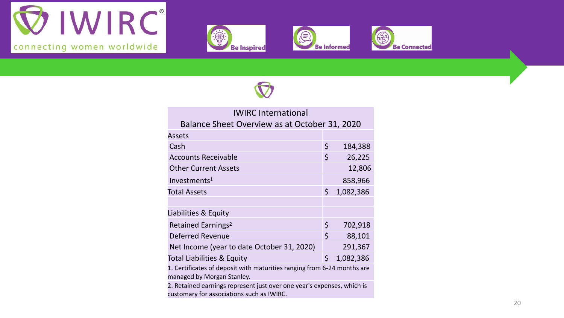









| <b>IWIRC International</b>                                              |                    |           |
|-------------------------------------------------------------------------|--------------------|-----------|
| Balance Sheet Overview as at October 31, 2020                           |                    |           |
| <b>Assets</b>                                                           |                    |           |
| Cash                                                                    | \$                 | 184,388   |
| <b>Accounts Receivable</b>                                              | \$                 | 26,225    |
| <b>Other Current Assets</b>                                             |                    | 12,806    |
| Investments <sup>1</sup>                                                |                    | 858,966   |
| <b>Total Assets</b>                                                     | \$                 | 1,082,386 |
|                                                                         |                    |           |
| Liabilities & Equity                                                    |                    |           |
| Retained Earnings <sup>2</sup>                                          | \$                 | 702,918   |
| Deferred Revenue                                                        | $\mathsf{\dot{S}}$ | 88,101    |
| Net Income (year to date October 31, 2020)                              |                    | 291,367   |
| Total Liabilities & Equity                                              | \$                 | 1,082,386 |
| 1. Certificates of deposit with maturities ranging from 6-24 months are |                    |           |

managed by Morgan Stanley.

2. Retained earnings represent just over one year's expenses, which is customary for associations such as IWIRC.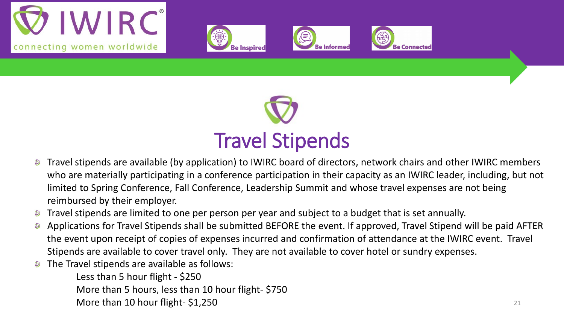









- Travel stipends are available (by application) to IWIRC board of directors, network chairs and other IWIRC members  $\circledcirc$ who are materially participating in a conference participation in their capacity as an IWIRC leader, including, but not limited to Spring Conference, Fall Conference, Leadership Summit and whose travel expenses are not being reimbursed by their employer.
- Travel stipends are limited to one per person per year and subject to a budget that is set annually.
- Applications for Travel Stipends shall be submitted BEFORE the event. If approved, Travel Stipend will be paid AFTER  $\circledcirc$ the event upon receipt of copies of expenses incurred and confirmation of attendance at the IWIRC event. Travel Stipends are available to cover travel only. They are not available to cover hotel or sundry expenses.
- The Travel stipends are available as follows:

Less than 5 hour flight - \$250 More than 5 hours, less than 10 hour flight- \$750 More than 10 hour flight- $$1,250$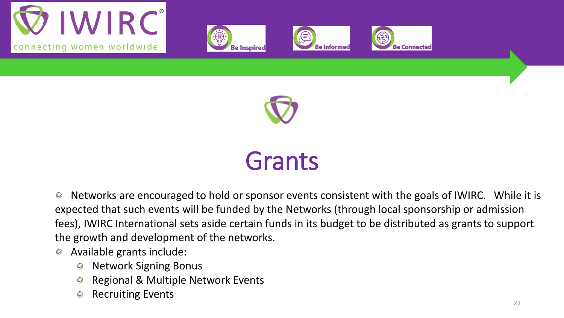









### Grants

Networks are encouraged to hold or sponsor events consistent with the goals of IWIRC. While it is  $\circledcirc$ expected that such events will be funded by the Networks (through local sponsorship or admission fees), IWIRC International sets aside certain funds in its budget to be distributed as grants to support the growth and development of the networks.

- Available grants include:  $\circledcirc$ 
	- Network Signing Bonus  $\circledcirc$
	- Regional & Multiple Network Events
	- Recruiting Events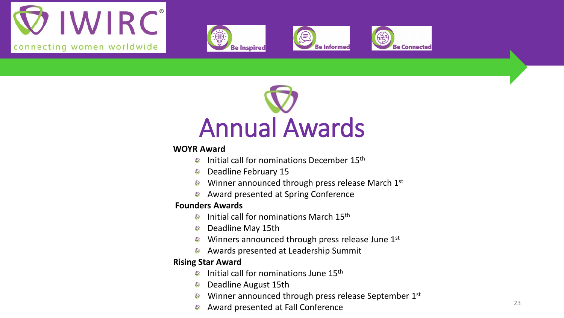









#### **WOYR Award**

- Initial call for nominations December 15th  $\circledcirc$
- Deadline February 15  $\circledcirc$
- Winner announced through press release March 1st  $\circledcirc$
- Award presented at Spring Conference  $\circledcirc$

#### **Founders Awards**

- Initial call for nominations March 15th  $\circledcirc$
- Deadline May 15th  $\circledcirc$
- Winners announced through press release June 1st
- **Awards presented at Leadership Summit**

#### **Rising Star Award**

- Initial call for nominations June 15th  $\circledcirc$
- Deadline August 15th
- Winner announced through press release September 1st  $\circledcirc$
- Award presented at Fall Conference 23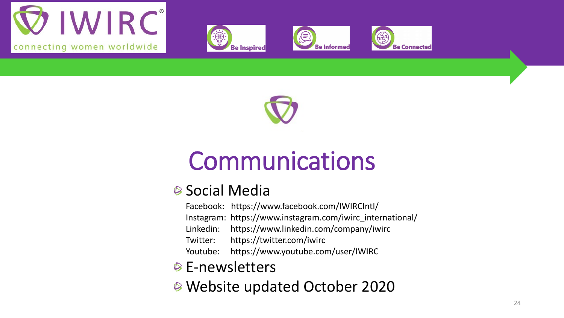









## Communications

### **<sup>●</sup> Social Media**

Facebook: https://www.facebook.com/IWIRCIntl/

Instagram: https://www.instagram.com/iwirc\_international/

Linkedin: https://www.linkedin.com/company/iwirc

Twitter: https://twitter.com/iwirc

Youtube: https://www.youtube.com/user/IWIRC

### **■ E-newsletters**

Website updated October 2020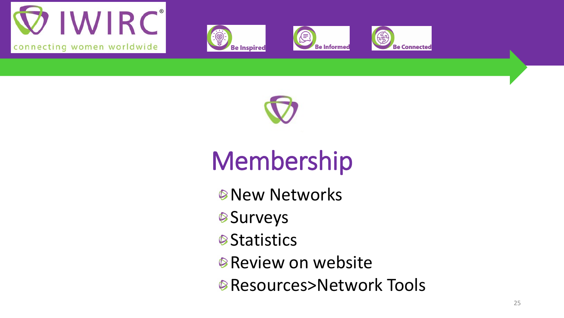









# Membership

- *<sup>®</sup>New Networks*
- **Surveys**
- **Statistics**
- **Review on website**
- *●* **Resources>Network Tools**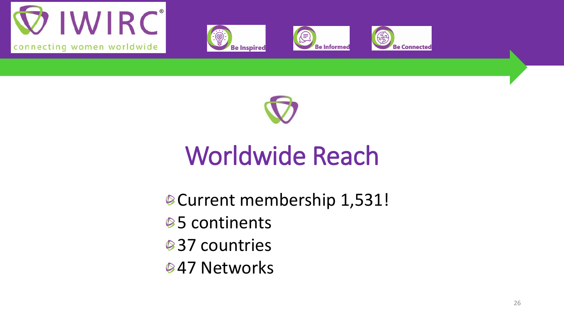









## Worldwide Reach

- Current membership 1,531!
- **<sup>●5</sup> continents**
- **<sup>●</sup>37** countries
- **847 Networks**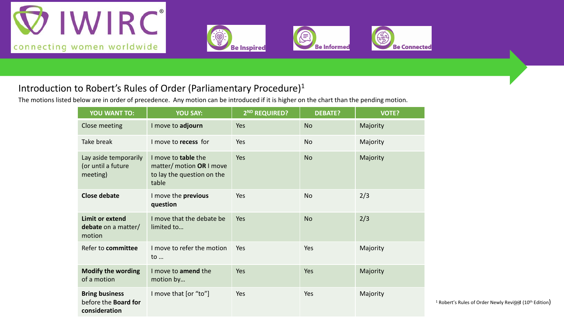







#### Introduction to Robert's Rules of Order (Parliamentary Procedure)1

The motions listed below are in order of precedence. Any motion can be introduced if it is higher on the chart than the pending motion.

| <b>YOU WANT TO:</b>                                                   | <b>YOU SAY:</b>                                                                        | 2 <sup>ND</sup> REQUIRED? | <b>DEBATE?</b> | <b>VOTE?</b> |
|-----------------------------------------------------------------------|----------------------------------------------------------------------------------------|---------------------------|----------------|--------------|
| Close meeting                                                         | I move to adjourn                                                                      | Yes                       | <b>No</b>      | Majority     |
| Take break                                                            | I move to recess for                                                                   | Yes                       | <b>No</b>      | Majority     |
| Lay aside temporarily<br>(or until a future<br>meeting)               | I move to table the<br>matter/ motion OR I move<br>to lay the question on the<br>table | Yes                       | <b>No</b>      | Majority     |
| <b>Close debate</b>                                                   | I move the previous<br>question                                                        | Yes                       | <b>No</b>      | 2/3          |
| <b>Limit or extend</b><br>debate on a matter/<br>motion               | I move that the debate be<br>limited to                                                | Yes                       | <b>No</b>      | 2/3          |
| Refer to committee                                                    | I move to refer the motion<br>to                                                       | Yes                       | Yes            | Majority     |
| <b>Modify the wording</b><br>of a motion                              | I move to amend the<br>motion by                                                       | Yes                       | Yes            | Majority     |
| <b>Bring business</b><br>before the <b>Board for</b><br>consideration | I move that [or "to"]                                                                  | Yes                       | Yes            | Majority     |

<sup>1</sup> Robert's Rules of Order Newly Revised (10<sup>th</sup> Edition)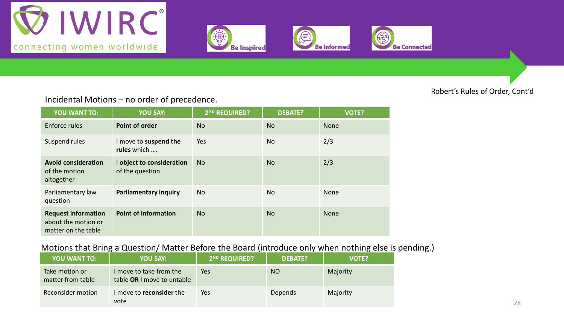







#### Robert's Rules of Order, Cont'd

Incidental Motions – no order of precedence.

| <b>YOU WANT TO:</b>                                                      | <b>YOU SAY:</b>                              | 2 <sup>ND</sup> REQUIRED? | <b>DEBATE?</b> | <b>VOTE?</b> |
|--------------------------------------------------------------------------|----------------------------------------------|---------------------------|----------------|--------------|
| Enforce rules                                                            | <b>Point of order</b>                        | <b>No</b>                 | <b>No</b>      | None         |
| Suspend rules                                                            | I move to suspend the<br>rules which         | Yes                       | <b>No</b>      | 2/3          |
| <b>Avoid consideration</b><br>of the motion<br>altogether                | I object to consideration<br>of the question | <b>No</b>                 | <b>No</b>      | 2/3          |
| Parliamentary law<br>question                                            | <b>Parliamentary inquiry</b>                 | No.                       | <b>No</b>      | None         |
| <b>Request information</b><br>about the motion or<br>matter on the table | <b>Point of information</b>                  | <b>No</b>                 | <b>No</b>      | <b>None</b>  |

#### Motions that Bring a Question/ Matter Before the Board (introduce only when nothing else is pending.)

| <b>YOU WANT TO:</b>                 | <b>YOU SAY:</b>                                       | 2 <sup>ND</sup> REQUIRED? | <b>DEBATE?</b> | <b>VOTE?</b> |
|-------------------------------------|-------------------------------------------------------|---------------------------|----------------|--------------|
| Take motion or<br>matter from table | I move to take from the<br>table OR I move to untable | Yes                       | <sub>NO</sub>  | Majority     |
| Reconsider motion                   | move to <b>reconsider</b> the<br>vote                 | Yes                       | Depends        | Majority     |